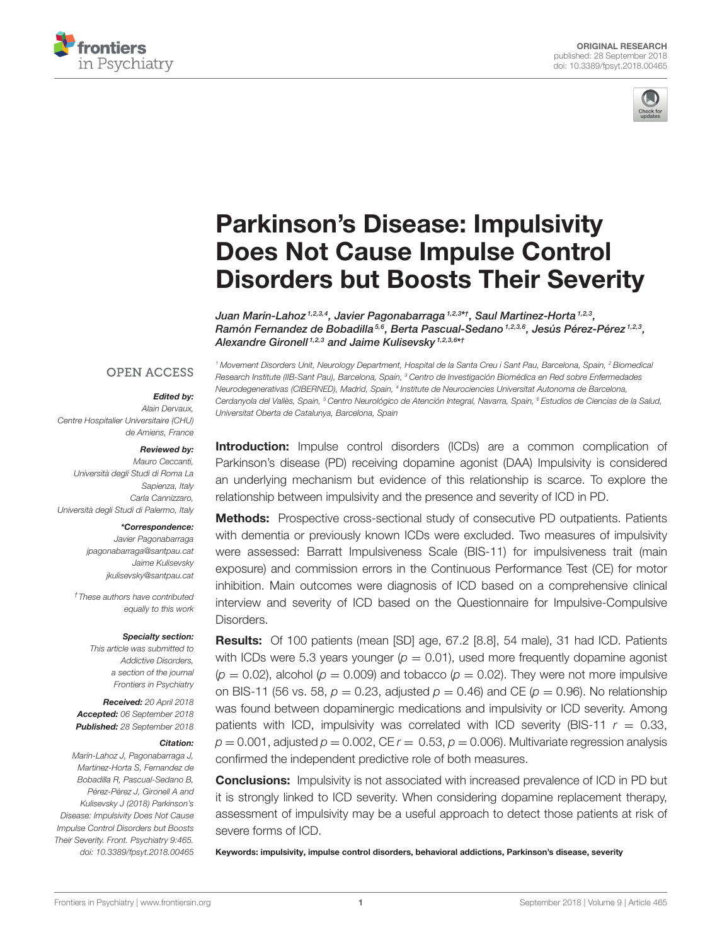



# Parkinson's Disease: Impulsivity Does Not Cause Impulse Control [Disorders but Boosts Their Severity](https://www.frontiersin.org/articles/10.3389/fpsyt.2018.00465/full)

[Juan Marín-Lahoz](http://loop.frontiersin.org/people/552920/overview) 1,2,3,4, [Javier Pagonabarraga](http://loop.frontiersin.org/people/54640/overview) 1,2,3\*†, [Saul Martinez-Horta](http://loop.frontiersin.org/people/202010/overview) 1,2,3, Ramón Fernandez de Bobadilla $^{5,6}$ , [Berta Pascual-Sedano](http://loop.frontiersin.org/people/310392/overview) $^{1,2,3,6}$ , [Jesús Pérez-Pérez](http://loop.frontiersin.org/people/409018/overview) $^{1,2,3}$ , Alexandre Gironell<sup>1,2,3</sup> and [Jaime Kulisevsky](http://loop.frontiersin.org/people/41105/overview) <sup>1,2,3,6\*†</sup>

### **OPEN ACCESS**

#### Edited by:

Alain Dervaux, Centre Hospitalier Universitaire (CHU) de Amiens, France

#### Reviewed by:

Mauro Ceccanti, Università degli Studi di Roma La Sapienza, Italy Carla Cannizzaro, Università degli Studi di Palermo, Italy

#### \*Correspondence:

Javier Pagonabarraga [jpagonabarraga@santpau.cat](mailto:jpagonabarraga@santpau.cat) Jaime Kulisevsky [jkulisevsky@santpau.cat](mailto:jkulisevsky@santpau.cat)

†These authors have contributed equally to this work

#### Specialty section:

This article was submitted to Addictive Disorders, a section of the journal Frontiers in Psychiatry

Received: 20 April 2018 Accepted: 06 September 2018 Published: 28 September 2018

#### Citation:

Marín-Lahoz J, Pagonabarraga J, Martinez-Horta S, Fernandez de Bobadilla R, Pascual-Sedano B, Pérez-Pérez J, Gironell A and Kulisevsky J (2018) Parkinson's Disease: Impulsivity Does Not Cause Impulse Control Disorders but Boosts Their Severity. Front. Psychiatry 9:465. doi: [10.3389/fpsyt.2018.00465](https://doi.org/10.3389/fpsyt.2018.00465)

<sup>1</sup> Movement Disorders Unit, Neurology Department, Hospital de la Santa Creu i Sant Pau, Barcelona, Spain, <sup>2</sup> Biomedical Research Institute (IIB-Sant Pau), Barcelona, Spain, <sup>3</sup> Centro de Investigación Biomédica en Red sobre Enfermedades Neurodegenerativas (CIBERNED), Madrid, Spain, <sup>4</sup> Institute de Neurociencies Universitat Autonoma de Barcelona, Cerdanyola del Vallès, Spain, <sup>5</sup> Centro Neurológico de Atención Integral, Navarra, Spain, <sup>6</sup> Estudios de Ciencias de la Salud, Universitat Oberta de Catalunya, Barcelona, Spain

## **Introduction:** Impulse control disorders (ICDs) are a common complication of Parkinson's disease (PD) receiving dopamine agonist (DAA) Impulsivity is considered an underlying mechanism but evidence of this relationship is scarce. To explore the relationship between impulsivity and the presence and severity of ICD in PD.

Methods: Prospective cross-sectional study of consecutive PD outpatients. Patients with dementia or previously known ICDs were excluded. Two measures of impulsivity were assessed: Barratt Impulsiveness Scale (BIS-11) for impulsiveness trait (main exposure) and commission errors in the Continuous Performance Test (CE) for motor inhibition. Main outcomes were diagnosis of ICD based on a comprehensive clinical interview and severity of ICD based on the Questionnaire for Impulsive-Compulsive Disorders.

Results: Of 100 patients (mean [SD] age, 67.2 [8.8], 54 male), 31 had ICD. Patients with ICDs were 5.3 years younger ( $p = 0.01$ ), used more frequently dopamine agonist  $(p = 0.02)$ , alcohol  $(p = 0.009)$  and tobacco  $(p = 0.02)$ . They were not more impulsive on BIS-11 (56 vs. 58,  $p = 0.23$ , adjusted  $p = 0.46$ ) and CE ( $p = 0.96$ ). No relationship was found between dopaminergic medications and impulsivity or ICD severity. Among patients with ICD, impulsivity was correlated with ICD severity (BIS-11  $r = 0.33$ ,  $p = 0.001$ , adjusted  $p = 0.002$ , CE  $r = 0.53$ ,  $p = 0.006$ ). Multivariate regression analysis confirmed the independent predictive role of both measures.

**Conclusions:** Impulsivity is not associated with increased prevalence of ICD in PD but it is strongly linked to ICD severity. When considering dopamine replacement therapy, assessment of impulsivity may be a useful approach to detect those patients at risk of severe forms of ICD.

Keywords: impulsivity, impulse control disorders, behavioral addictions, Parkinson's disease, severity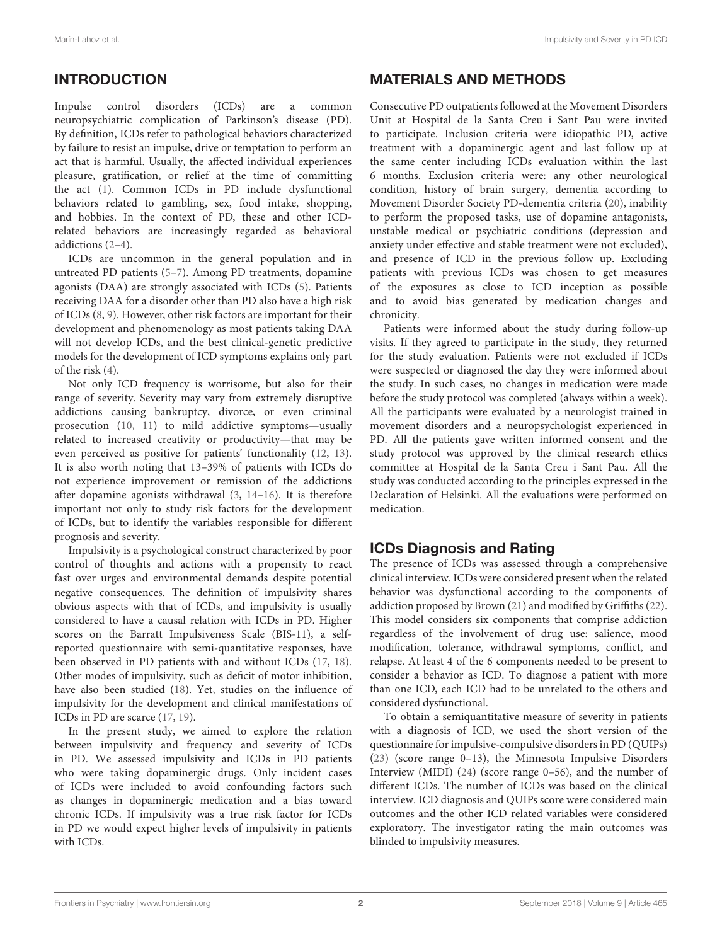# INTRODUCTION

Impulse control disorders (ICDs) are a common neuropsychiatric complication of Parkinson's disease (PD). By definition, ICDs refer to pathological behaviors characterized by failure to resist an impulse, drive or temptation to perform an act that is harmful. Usually, the affected individual experiences pleasure, gratification, or relief at the time of committing the act [\(1\)](#page-5-0). Common ICDs in PD include dysfunctional behaviors related to gambling, sex, food intake, shopping, and hobbies. In the context of PD, these and other ICDrelated behaviors are increasingly regarded as behavioral addictions [\(2](#page-5-1)[–4\)](#page-5-2).

ICDs are uncommon in the general population and in untreated PD patients [\(5–](#page-5-3)[7\)](#page-5-4). Among PD treatments, dopamine agonists (DAA) are strongly associated with ICDs [\(5\)](#page-5-3). Patients receiving DAA for a disorder other than PD also have a high risk of ICDs [\(8,](#page-5-5) [9\)](#page-5-6). However, other risk factors are important for their development and phenomenology as most patients taking DAA will not develop ICDs, and the best clinical-genetic predictive models for the development of ICD symptoms explains only part of the risk [\(4\)](#page-5-2).

Not only ICD frequency is worrisome, but also for their range of severity. Severity may vary from extremely disruptive addictions causing bankruptcy, divorce, or even criminal prosecution [\(10,](#page-5-7) [11\)](#page-5-8) to mild addictive symptoms—usually related to increased creativity or productivity—that may be even perceived as positive for patients' functionality [\(12,](#page-5-9) [13\)](#page-5-10). It is also worth noting that 13–39% of patients with ICDs do not experience improvement or remission of the addictions after dopamine agonists withdrawal [\(3,](#page-5-11) [14](#page-5-12)[–16\)](#page-5-13). It is therefore important not only to study risk factors for the development of ICDs, but to identify the variables responsible for different prognosis and severity.

Impulsivity is a psychological construct characterized by poor control of thoughts and actions with a propensity to react fast over urges and environmental demands despite potential negative consequences. The definition of impulsivity shares obvious aspects with that of ICDs, and impulsivity is usually considered to have a causal relation with ICDs in PD. Higher scores on the Barratt Impulsiveness Scale (BIS-11), a selfreported questionnaire with semi-quantitative responses, have been observed in PD patients with and without ICDs [\(17,](#page-5-14) [18\)](#page-5-15). Other modes of impulsivity, such as deficit of motor inhibition, have also been studied [\(18\)](#page-5-15). Yet, studies on the influence of impulsivity for the development and clinical manifestations of ICDs in PD are scarce [\(17,](#page-5-14) [19\)](#page-5-16).

In the present study, we aimed to explore the relation between impulsivity and frequency and severity of ICDs in PD. We assessed impulsivity and ICDs in PD patients who were taking dopaminergic drugs. Only incident cases of ICDs were included to avoid confounding factors such as changes in dopaminergic medication and a bias toward chronic ICDs. If impulsivity was a true risk factor for ICDs in PD we would expect higher levels of impulsivity in patients with ICDs.

# MATERIALS AND METHODS

Consecutive PD outpatients followed at the Movement Disorders Unit at Hospital de la Santa Creu i Sant Pau were invited to participate. Inclusion criteria were idiopathic PD, active treatment with a dopaminergic agent and last follow up at the same center including ICDs evaluation within the last 6 months. Exclusion criteria were: any other neurological condition, history of brain surgery, dementia according to Movement Disorder Society PD-dementia criteria [\(20\)](#page-5-17), inability to perform the proposed tasks, use of dopamine antagonists, unstable medical or psychiatric conditions (depression and anxiety under effective and stable treatment were not excluded), and presence of ICD in the previous follow up. Excluding patients with previous ICDs was chosen to get measures of the exposures as close to ICD inception as possible and to avoid bias generated by medication changes and chronicity.

Patients were informed about the study during follow-up visits. If they agreed to participate in the study, they returned for the study evaluation. Patients were not excluded if ICDs were suspected or diagnosed the day they were informed about the study. In such cases, no changes in medication were made before the study protocol was completed (always within a week). All the participants were evaluated by a neurologist trained in movement disorders and a neuropsychologist experienced in PD. All the patients gave written informed consent and the study protocol was approved by the clinical research ethics committee at Hospital de la Santa Creu i Sant Pau. All the study was conducted according to the principles expressed in the Declaration of Helsinki. All the evaluations were performed on medication.

# ICDs Diagnosis and Rating

The presence of ICDs was assessed through a comprehensive clinical interview. ICDs were considered present when the related behavior was dysfunctional according to the components of addiction proposed by Brown [\(21\)](#page-5-18) and modified by Griffiths [\(22\)](#page-5-19). This model considers six components that comprise addiction regardless of the involvement of drug use: salience, mood modification, tolerance, withdrawal symptoms, conflict, and relapse. At least 4 of the 6 components needed to be present to consider a behavior as ICD. To diagnose a patient with more than one ICD, each ICD had to be unrelated to the others and considered dysfunctional.

To obtain a semiquantitative measure of severity in patients with a diagnosis of ICD, we used the short version of the questionnaire for impulsive-compulsive disorders in PD (QUIPs) [\(23\)](#page-5-20) (score range 0–13), the Minnesota Impulsive Disorders Interview (MIDI) [\(24\)](#page-5-21) (score range 0–56), and the number of different ICDs. The number of ICDs was based on the clinical interview. ICD diagnosis and QUIPs score were considered main outcomes and the other ICD related variables were considered exploratory. The investigator rating the main outcomes was blinded to impulsivity measures.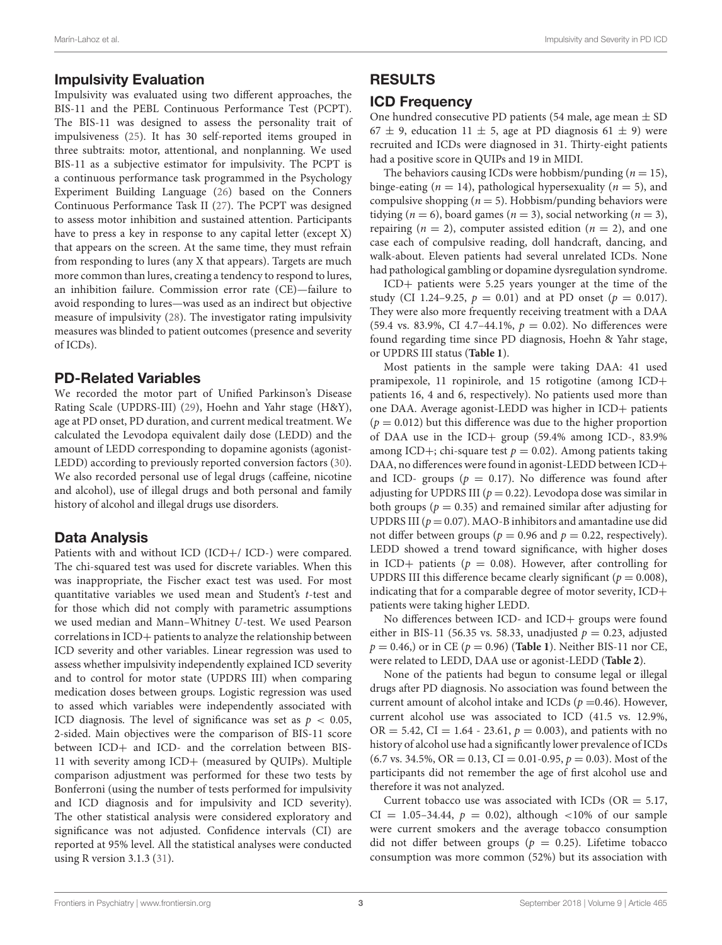#### Impulsivity Evaluation

Impulsivity was evaluated using two different approaches, the BIS-11 and the PEBL Continuous Performance Test (PCPT). The BIS-11 was designed to assess the personality trait of impulsiveness [\(25\)](#page-5-22). It has 30 self-reported items grouped in three subtraits: motor, attentional, and nonplanning. We used BIS-11 as a subjective estimator for impulsivity. The PCPT is a continuous performance task programmed in the Psychology Experiment Building Language [\(26\)](#page-5-23) based on the Conners Continuous Performance Task II [\(27\)](#page-5-24). The PCPT was designed to assess motor inhibition and sustained attention. Participants have to press a key in response to any capital letter (except X) that appears on the screen. At the same time, they must refrain from responding to lures (any X that appears). Targets are much more common than lures, creating a tendency to respond to lures, an inhibition failure. Commission error rate (CE)—failure to avoid responding to lures—was used as an indirect but objective measure of impulsivity [\(28\)](#page-5-25). The investigator rating impulsivity measures was blinded to patient outcomes (presence and severity of ICDs).

### PD-Related Variables

We recorded the motor part of Unified Parkinson's Disease Rating Scale (UPDRS-III) [\(29\)](#page-5-26), Hoehn and Yahr stage (H&Y), age at PD onset, PD duration, and current medical treatment. We calculated the Levodopa equivalent daily dose (LEDD) and the amount of LEDD corresponding to dopamine agonists (agonist-LEDD) according to previously reported conversion factors [\(30\)](#page-6-0). We also recorded personal use of legal drugs (caffeine, nicotine and alcohol), use of illegal drugs and both personal and family history of alcohol and illegal drugs use disorders.

## Data Analysis

Patients with and without ICD (ICD+/ ICD-) were compared. The chi-squared test was used for discrete variables. When this was inappropriate, the Fischer exact test was used. For most quantitative variables we used mean and Student's t-test and for those which did not comply with parametric assumptions we used median and Mann–Whitney U-test. We used Pearson correlations in ICD+ patients to analyze the relationship between ICD severity and other variables. Linear regression was used to assess whether impulsivity independently explained ICD severity and to control for motor state (UPDRS III) when comparing medication doses between groups. Logistic regression was used to assed which variables were independently associated with ICD diagnosis. The level of significance was set as  $p < 0.05$ , 2-sided. Main objectives were the comparison of BIS-11 score between ICD+ and ICD- and the correlation between BIS-11 with severity among ICD+ (measured by QUIPs). Multiple comparison adjustment was performed for these two tests by Bonferroni (using the number of tests performed for impulsivity and ICD diagnosis and for impulsivity and ICD severity). The other statistical analysis were considered exploratory and significance was not adjusted. Confidence intervals (CI) are reported at 95% level. All the statistical analyses were conducted using R version 3.1.3 [\(31\)](#page-6-1).

# RESULTS

## ICD Frequency

One hundred consecutive PD patients (54 male, age mean  $\pm$  SD  $67 \pm 9$ , education 11  $\pm 5$ , age at PD diagnosis 61  $\pm 9$ ) were recruited and ICDs were diagnosed in 31. Thirty-eight patients had a positive score in QUIPs and 19 in MIDI.

The behaviors causing ICDs were hobbism/punding  $(n = 15)$ , binge-eating ( $n = 14$ ), pathological hypersexuality ( $n = 5$ ), and compulsive shopping ( $n = 5$ ). Hobbism/punding behaviors were tidying ( $n = 6$ ), board games ( $n = 3$ ), social networking ( $n = 3$ ), repairing  $(n = 2)$ , computer assisted edition  $(n = 2)$ , and one case each of compulsive reading, doll handcraft, dancing, and walk-about. Eleven patients had several unrelated ICDs. None had pathological gambling or dopamine dysregulation syndrome.

ICD+ patients were 5.25 years younger at the time of the study (CI 1.24-9.25,  $p = 0.01$ ) and at PD onset ( $p = 0.017$ ). They were also more frequently receiving treatment with a DAA (59.4 vs. 83.9%, CI 4.7-44.1%,  $p = 0.02$ ). No differences were found regarding time since PD diagnosis, Hoehn & Yahr stage, or UPDRS III status (**[Table 1](#page-3-0)**).

Most patients in the sample were taking DAA: 41 used pramipexole, 11 ropinirole, and 15 rotigotine (among ICD+ patients 16, 4 and 6, respectively). No patients used more than one DAA. Average agonist-LEDD was higher in ICD+ patients  $(p = 0.012)$  but this difference was due to the higher proportion of DAA use in the ICD+ group (59.4% among ICD-, 83.9% among ICD+; chi-square test  $p = 0.02$ ). Among patients taking DAA, no differences were found in agonist-LEDD between ICD+ and ICD- groups ( $p = 0.17$ ). No difference was found after adjusting for UPDRS III ( $p = 0.22$ ). Levodopa dose was similar in both groups ( $p = 0.35$ ) and remained similar after adjusting for UPDRS III ( $p = 0.07$ ). MAO-B inhibitors and amantadine use did not differ between groups ( $p = 0.96$  and  $p = 0.22$ , respectively). LEDD showed a trend toward significance, with higher doses in ICD+ patients ( $p = 0.08$ ). However, after controlling for UPDRS III this difference became clearly significant ( $p = 0.008$ ), indicating that for a comparable degree of motor severity, ICD+ patients were taking higher LEDD.

No differences between ICD- and ICD+ groups were found either in BIS-11 (56.35 vs. 58.33, unadjusted  $p = 0.23$ , adjusted  $p = 0.46$ ,) or in CE ( $p = 0.96$ ) (**[Table 1](#page-3-0)**). Neither BIS-11 nor CE, were related to LEDD, DAA use or agonist-LEDD (**[Table 2](#page-3-1)**).

None of the patients had begun to consume legal or illegal drugs after PD diagnosis. No association was found between the current amount of alcohol intake and ICDs ( $p = 0.46$ ). However, current alcohol use was associated to ICD (41.5 vs. 12.9%, OR = 5.42, CI = 1.64 - 23.61,  $p = 0.003$ ), and patients with no history of alcohol use had a significantly lower prevalence of ICDs  $(6.7 \text{ vs. } 34.5\%, \text{ OR } = 0.13, \text{ CI } = 0.01 - 0.95, p = 0.03)$ . Most of the participants did not remember the age of first alcohol use and therefore it was not analyzed.

Current tobacco use was associated with ICDs ( $OR = 5.17$ ,  $CI = 1.05 - 34.44, p = 0.02$ , although <10% of our sample were current smokers and the average tobacco consumption did not differ between groups ( $p = 0.25$ ). Lifetime tobacco consumption was more common (52%) but its association with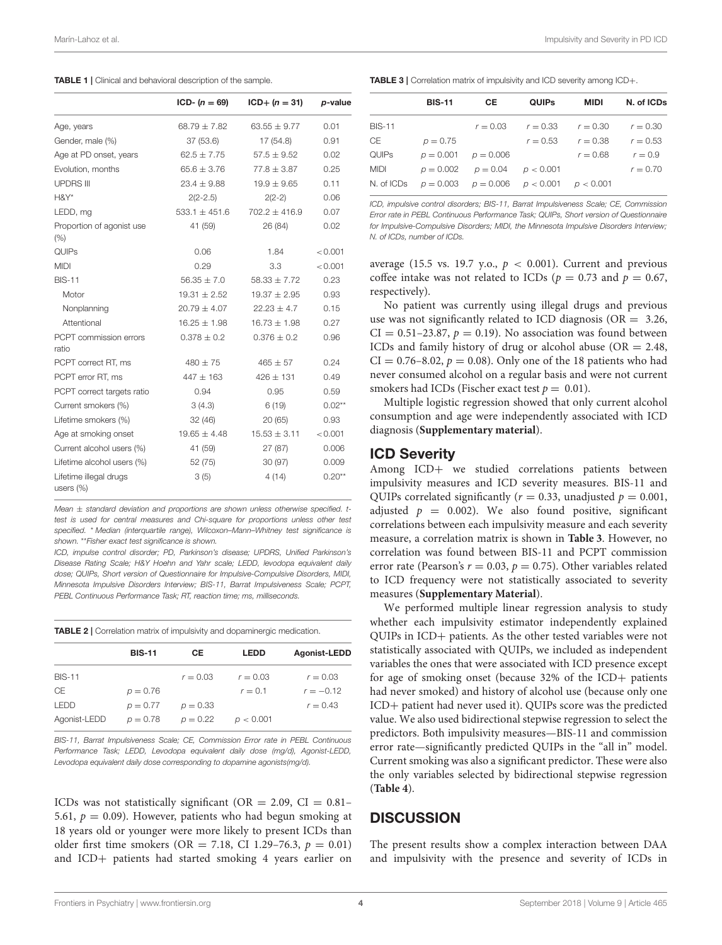<span id="page-3-0"></span>

| TABLE 1   Clinical and behavioral description of the sample. |  |  |  |  |  |
|--------------------------------------------------------------|--|--|--|--|--|
|--------------------------------------------------------------|--|--|--|--|--|

|                                        | ICD- $(n = 69)$   | $ICD+ (n = 31)$  | p-value   |
|----------------------------------------|-------------------|------------------|-----------|
| Age, years                             | $68.79 + 7.82$    | $63.55 + 9.77$   | 0.01      |
| Gender, male (%)                       | 37 (53.6)         | 17 (54.8)        | 0.91      |
| Age at PD onset, years                 | $62.5 + 7.75$     | $57.5 + 9.52$    | 0.02      |
| Evolution, months                      | $65.6 \pm 3.76$   | $77.8 \pm 3.87$  | 0.25      |
| <b>UPDRS III</b>                       | $23.4 \pm 9.88$   | $19.9 \pm 9.65$  | 0.11      |
| $H8Y^*$                                | $2(2 - 2.5)$      | $2(2-2)$         | 0.06      |
| LEDD, mg                               | $533.1 \pm 451.6$ | $702.2 + 416.9$  | 0.07      |
| Proportion of agonist use<br>(% )      | 41 (59)           | 26 (84)          | 0.02      |
| <b>QUIPs</b>                           | 0.06              | 1.84             | < 0.001   |
| <b>MIDI</b>                            | 0.29              | 3.3              | < 0.001   |
| <b>BIS-11</b>                          | $56.35 \pm 7.0$   | $58.33 + 7.72$   | 0.23      |
| Motor                                  | $19.31 \pm 2.52$  | $19.37 \pm 2.95$ | 0.93      |
| Nonplanning                            | $20.79 \pm 4.07$  | $22.23 + 4.7$    | 0.15      |
| Attentional                            | $16.25 \pm 1.98$  | $16.73 \pm 1.98$ | 0.27      |
| PCPT commission errors<br>ratio        | $0.378 \pm 0.2$   | $0.376 + 0.2$    | 0.96      |
| PCPT correct RT, ms                    | $480 \pm 75$      | $465 \pm 57$     | 0.24      |
| PCPT error RT, ms                      | $447 + 163$       | $426 + 131$      | 0.49      |
| PCPT correct targets ratio             | 0.94              | 0.95             | 0.59      |
| Current smokers (%)                    | 3(4.3)            | 6(19)            | $0.02***$ |
| Lifetime smokers (%)                   | 32 (46)           | 20(65)           | 0.93      |
| Age at smoking onset                   | $19.65 \pm 4.48$  | $15.53 \pm 3.11$ | < 0.001   |
| Current alcohol users (%)              | 41 (59)           | 27(87)           | 0.006     |
| Lifetime alcohol users (%)             | 52 (75)           | 30 (97)          | 0.009     |
| Lifetime illegal drugs<br>users $(\%)$ | 3(5)              | 4(14)            | $0.20**$  |

Mean  $+$  standard deviation and proportions are shown unless otherwise specified.  $t$ test is used for central measures and Chi-square for proportions unless other test specified. \* Median (interquartile range), Wilcoxon–Mann–Whitney test significance is shown. \*\*Fisher exact test significance is shown.

ICD, impulse control disorder; PD, Parkinson's disease; UPDRS, Unified Parkinson's Disease Rating Scale; H&Y Hoehn and Yahr scale; LEDD, levodopa equivalent daily dose; QUIPs, Short version of Questionnaire for Impulsive-Compulsive Disorders, MIDI, Minnesota Impulsive Disorders Interview; BIS-11, Barrat Impulsiveness Scale; PCPT, PEBL Continuous Performance Task; RT, reaction time; ms, milliseconds.

<span id="page-3-1"></span>

| <b>TABLE 2</b>   Correlation matrix of impulsivity and dopaminergic medication. |               |            |             |              |  |
|---------------------------------------------------------------------------------|---------------|------------|-------------|--------------|--|
|                                                                                 | <b>BIS-11</b> | <b>CE</b>  | <b>LEDD</b> | Agonist-LEDD |  |
| <b>BIS-11</b>                                                                   |               | $r = 0.03$ | $r = 0.03$  | $r = 0.03$   |  |
| CE                                                                              | $p = 0.76$    |            | $r = 0.1$   | $r = -0.12$  |  |
| <b>LEDD</b>                                                                     | $p = 0.77$    | $p = 0.33$ |             | $r = 0.43$   |  |
| Agonist-LEDD                                                                    | $p = 0.78$    | $p = 0.22$ | p < 0.001   |              |  |

BIS-11, Barrat Impulsiveness Scale; CE, Commission Error rate in PEBL Continuous Performance Task; LEDD, Levodopa equivalent daily dose (mg/d), Agonist-LEDD, Levodopa equivalent daily dose corresponding to dopamine agonists(mg/d).

ICDs was not statistically significant (OR = 2.09, CI =  $0.81-$ 5.61,  $p = 0.09$ ). However, patients who had begun smoking at 18 years old or younger were more likely to present ICDs than older first time smokers (OR = 7.18, CI 1.29-76.3,  $p = 0.01$ ) and ICD+ patients had started smoking 4 years earlier on

<span id="page-3-2"></span>

| <b>TABLE 3</b>   Correlation matrix of impulsivity and ICD severity among ICD+. |  |  |  |  |
|---------------------------------------------------------------------------------|--|--|--|--|
|---------------------------------------------------------------------------------|--|--|--|--|

| <b>BIS-11</b> | <b>CE</b>  | <b>QUIPS</b> | <b>MIDI</b>                         | N. of ICDs     |
|---------------|------------|--------------|-------------------------------------|----------------|
|               | $r = 0.03$ | $r = 0.33$   | $r = 0.30$                          | $r = 0.30$     |
| $p = 0.75$    |            | $r = 0.53$   | $r = 0.38$                          | $r = 0.53$     |
| $p = 0.001$   |            |              | $r = 0.68$                          | $r = 0.9$      |
| $p = 0.002$   | $p = 0.04$ | p < 0.001    |                                     | $r = 0.70$     |
|               |            |              |                                     |                |
|               |            | $p = 0.006$  | $p = 0.003$ $p = 0.006$ $p < 0.001$ | $\rho < 0.001$ |

ICD, impulsive control disorders; BIS-11, Barrat Impulsiveness Scale; CE, Commission Error rate in PEBL Continuous Performance Task; QUIPs, Short version of Questionnaire for Impulsive-Compulsive Disorders; MIDI, the Minnesota Impulsive Disorders Interview; N. of ICDs, number of ICDs.

average (15.5 vs. 19.7 y.o.,  $p < 0.001$ ). Current and previous coffee intake was not related to ICDs ( $p = 0.73$  and  $p = 0.67$ , respectively).

No patient was currently using illegal drugs and previous use was not significantly related to ICD diagnosis ( $OR = 3.26$ ,  $CI = 0.51 - 23.87$ ,  $p = 0.19$ ). No association was found between ICDs and family history of drug or alcohol abuse ( $OR = 2.48$ ,  $CI = 0.76-8.02$ ,  $p = 0.08$ ). Only one of the 18 patients who had never consumed alcohol on a regular basis and were not current smokers had ICDs (Fischer exact test  $p = 0.01$ ).

Multiple logistic regression showed that only current alcohol consumption and age were independently associated with ICD diagnosis (**[Supplementary material](#page-5-27)**).

#### ICD Severity

Among ICD+ we studied correlations patients between impulsivity measures and ICD severity measures. BIS-11 and QUIPs correlated significantly ( $r = 0.33$ , unadjusted  $p = 0.001$ , adjusted  $p = 0.002$ ). We also found positive, significant correlations between each impulsivity measure and each severity measure, a correlation matrix is shown in **[Table 3](#page-3-2)**. However, no correlation was found between BIS-11 and PCPT commission error rate (Pearson's  $r = 0.03$ ,  $p = 0.75$ ). Other variables related to ICD frequency were not statistically associated to severity measures (**[Supplementary Material](#page-5-27)**).

We performed multiple linear regression analysis to study whether each impulsivity estimator independently explained QUIPs in ICD+ patients. As the other tested variables were not statistically associated with QUIPs, we included as independent variables the ones that were associated with ICD presence except for age of smoking onset (because 32% of the ICD+ patients had never smoked) and history of alcohol use (because only one ICD+ patient had never used it). QUIPs score was the predicted value. We also used bidirectional stepwise regression to select the predictors. Both impulsivity measures—BIS-11 and commission error rate—significantly predicted QUIPs in the "all in" model. Current smoking was also a significant predictor. These were also the only variables selected by bidirectional stepwise regression (**[Table 4](#page-4-0)**).

### **DISCUSSION**

The present results show a complex interaction between DAA and impulsivity with the presence and severity of ICDs in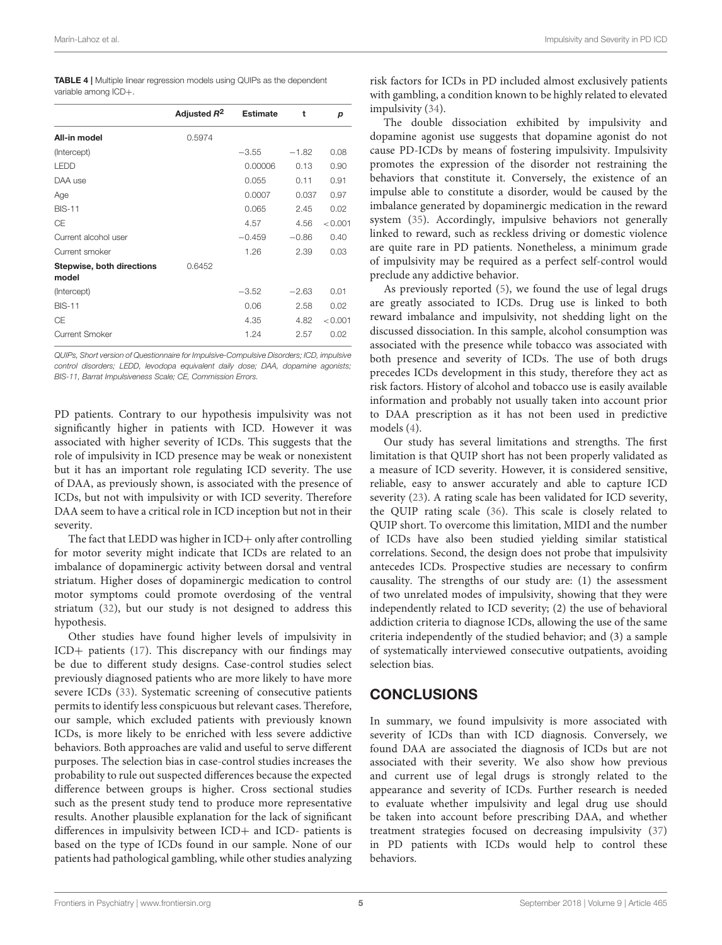<span id="page-4-0"></span>

| <b>TABLE 4</b>   Multiple linear regression models using QUIPs as the dependent |  |
|---------------------------------------------------------------------------------|--|
| variable among ICD+.                                                            |  |

|                                           | Adjusted R <sup>2</sup> | <b>Estimate</b> | t       | р       |
|-------------------------------------------|-------------------------|-----------------|---------|---------|
| All-in model                              | 0.5974                  |                 |         |         |
| (Intercept)                               |                         | $-3.55$         | $-1.82$ | 0.08    |
| <b>LEDD</b>                               |                         | 0.00006         | 0.13    | 0.90    |
| DAA use                                   |                         | 0.055           | 0.11    | 0.91    |
| Age                                       |                         | 0.0007          | 0.037   | 0.97    |
| <b>BIS-11</b>                             |                         | 0.065           | 2.45    | 0.02    |
| CE                                        |                         | 4.57            | 4.56    | < 0.001 |
| Current alcohol user                      |                         | $-0.459$        | $-0.86$ | 0.40    |
| Current smoker                            |                         | 1.26            | 2.39    | 0.03    |
| <b>Stepwise, both directions</b><br>model | 0.6452                  |                 |         |         |
| (Intercept)                               |                         | $-3.52$         | $-2.63$ | 0.01    |
| <b>BIS-11</b>                             |                         | 0.06            | 2.58    | 0.02    |
| CE                                        |                         | 4.35            | 4.82    | < 0.001 |
| <b>Current Smoker</b>                     |                         | 1.24            | 2.57    | 0.02    |

QUIPs, Short version of Questionnaire for Impulsive-Compulsive Disorders; ICD, impulsive control disorders; LEDD, levodopa equivalent daily dose; DAA, dopamine agonists; BIS-11, Barrat Impulsiveness Scale; CE, Commission Errors.

PD patients. Contrary to our hypothesis impulsivity was not significantly higher in patients with ICD. However it was associated with higher severity of ICDs. This suggests that the role of impulsivity in ICD presence may be weak or nonexistent but it has an important role regulating ICD severity. The use of DAA, as previously shown, is associated with the presence of ICDs, but not with impulsivity or with ICD severity. Therefore DAA seem to have a critical role in ICD inception but not in their severity.

The fact that LEDD was higher in ICD+ only after controlling for motor severity might indicate that ICDs are related to an imbalance of dopaminergic activity between dorsal and ventral striatum. Higher doses of dopaminergic medication to control motor symptoms could promote overdosing of the ventral striatum [\(32\)](#page-6-2), but our study is not designed to address this hypothesis.

Other studies have found higher levels of impulsivity in ICD+ patients [\(17\)](#page-5-14). This discrepancy with our findings may be due to different study designs. Case-control studies select previously diagnosed patients who are more likely to have more severe ICDs [\(33\)](#page-6-3). Systematic screening of consecutive patients permits to identify less conspicuous but relevant cases. Therefore, our sample, which excluded patients with previously known ICDs, is more likely to be enriched with less severe addictive behaviors. Both approaches are valid and useful to serve different purposes. The selection bias in case-control studies increases the probability to rule out suspected differences because the expected difference between groups is higher. Cross sectional studies such as the present study tend to produce more representative results. Another plausible explanation for the lack of significant differences in impulsivity between ICD+ and ICD- patients is based on the type of ICDs found in our sample. None of our patients had pathological gambling, while other studies analyzing

risk factors for ICDs in PD included almost exclusively patients with gambling, a condition known to be highly related to elevated impulsivity [\(34\)](#page-6-4).

The double dissociation exhibited by impulsivity and dopamine agonist use suggests that dopamine agonist do not cause PD-ICDs by means of fostering impulsivity. Impulsivity promotes the expression of the disorder not restraining the behaviors that constitute it. Conversely, the existence of an impulse able to constitute a disorder, would be caused by the imbalance generated by dopaminergic medication in the reward system [\(35\)](#page-6-5). Accordingly, impulsive behaviors not generally linked to reward, such as reckless driving or domestic violence are quite rare in PD patients. Nonetheless, a minimum grade of impulsivity may be required as a perfect self-control would preclude any addictive behavior.

As previously reported [\(5\)](#page-5-3), we found the use of legal drugs are greatly associated to ICDs. Drug use is linked to both reward imbalance and impulsivity, not shedding light on the discussed dissociation. In this sample, alcohol consumption was associated with the presence while tobacco was associated with both presence and severity of ICDs. The use of both drugs precedes ICDs development in this study, therefore they act as risk factors. History of alcohol and tobacco use is easily available information and probably not usually taken into account prior to DAA prescription as it has not been used in predictive models [\(4\)](#page-5-2).

Our study has several limitations and strengths. The first limitation is that QUIP short has not been properly validated as a measure of ICD severity. However, it is considered sensitive, reliable, easy to answer accurately and able to capture ICD severity [\(23\)](#page-5-20). A rating scale has been validated for ICD severity, the QUIP rating scale [\(36\)](#page-6-6). This scale is closely related to QUIP short. To overcome this limitation, MIDI and the number of ICDs have also been studied yielding similar statistical correlations. Second, the design does not probe that impulsivity antecedes ICDs. Prospective studies are necessary to confirm causality. The strengths of our study are: (1) the assessment of two unrelated modes of impulsivity, showing that they were independently related to ICD severity; (2) the use of behavioral addiction criteria to diagnose ICDs, allowing the use of the same criteria independently of the studied behavior; and (3) a sample of systematically interviewed consecutive outpatients, avoiding selection bias.

# **CONCLUSIONS**

In summary, we found impulsivity is more associated with severity of ICDs than with ICD diagnosis. Conversely, we found DAA are associated the diagnosis of ICDs but are not associated with their severity. We also show how previous and current use of legal drugs is strongly related to the appearance and severity of ICDs. Further research is needed to evaluate whether impulsivity and legal drug use should be taken into account before prescribing DAA, and whether treatment strategies focused on decreasing impulsivity [\(37\)](#page-6-7) in PD patients with ICDs would help to control these behaviors.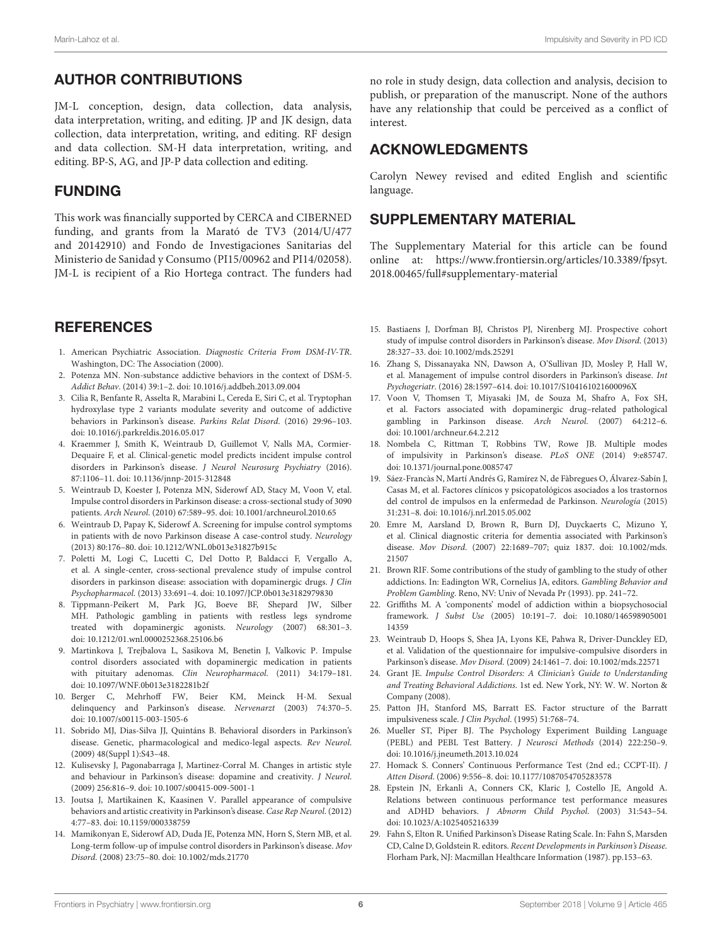# AUTHOR CONTRIBUTIONS

JM-L conception, design, data collection, data analysis, data interpretation, writing, and editing. JP and JK design, data collection, data interpretation, writing, and editing. RF design and data collection. SM-H data interpretation, writing, and editing. BP-S, AG, and JP-P data collection and editing.

## FUNDING

This work was financially supported by CERCA and CIBERNED funding, and grants from la Marató de TV3 (2014/U/477 and 20142910) and Fondo de Investigaciones Sanitarias del Ministerio de Sanidad y Consumo (PI15/00962 and PI14/02058). JM-L is recipient of a Rio Hortega contract. The funders had

# REFERENCES

- <span id="page-5-0"></span>1. American Psychiatric Association. Diagnostic Criteria From DSM-IV-TR. Washington, DC: The Association (2000).
- <span id="page-5-1"></span>2. Potenza MN. Non-substance addictive behaviors in the context of DSM-5. Addict Behav. (2014) 39:1–2. doi: [10.1016/j.addbeh.2013.09.004](https://doi.org/10.1016/j.addbeh.2013.09.004)
- <span id="page-5-11"></span>3. Cilia R, Benfante R, Asselta R, Marabini L, Cereda E, Siri C, et al. Tryptophan hydroxylase type 2 variants modulate severity and outcome of addictive behaviors in Parkinson's disease. Parkins Relat Disord. (2016) 29:96–103. doi: [10.1016/j.parkreldis.2016.05.017](https://doi.org/10.1016/j.parkreldis.2016.05.017)
- <span id="page-5-2"></span>4. Kraemmer J, Smith K, Weintraub D, Guillemot V, Nalls MA, Cormier-Dequaire F, et al. Clinical-genetic model predicts incident impulse control disorders in Parkinson's disease. J Neurol Neurosurg Psychiatry (2016). 87:1106–11. doi: [10.1136/jnnp-2015-312848](https://doi.org/10.1136/jnnp-2015-312848)
- <span id="page-5-3"></span>5. Weintraub D, Koester J, Potenza MN, Siderowf AD, Stacy M, Voon V, etal. Impulse control disorders in Parkinson disease: a cross-sectional study of 3090 patients. Arch Neurol. (2010) 67:589–95. doi: [10.1001/archneurol.2010.65](https://doi.org/10.1001/archneurol.2010.65)
- 6. Weintraub D, Papay K, Siderowf A. Screening for impulse control symptoms in patients with de novo Parkinson disease A case-control study. Neurology (2013) 80:176–80. doi: [10.1212/WNL.0b013e31827b915c](https://doi.org/10.1212/WNL.0b013e31827b915c)
- <span id="page-5-4"></span>7. Poletti M, Logi C, Lucetti C, Del Dotto P, Baldacci F, Vergallo A, et al. A single-center, cross-sectional prevalence study of impulse control disorders in parkinson disease: association with dopaminergic drugs. J Clin Psychopharmacol. (2013) 33:691–4. doi: [10.1097/JCP.0b013e3182979830](https://doi.org/10.1097/JCP.0b013e3182979830)
- <span id="page-5-5"></span>8. Tippmann-Peikert M, Park JG, Boeve BF, Shepard JW, Silber MH. Pathologic gambling in patients with restless legs syndrome treated with dopaminergic agonists. Neurology (2007) 68:301–3. doi: [10.1212/01.wnl.0000252368.25106.b6](https://doi.org/10.1212/01.wnl.0000252368.25106.b6)
- <span id="page-5-6"></span>9. Martinkova J, Trejbalova L, Sasikova M, Benetin J, Valkovic P. Impulse control disorders associated with dopaminergic medication in patients with pituitary adenomas. Clin Neuropharmacol. (2011) 34:179-181. doi: [10.1097/WNF.0b013e3182281b2f](https://doi.org/10.1097/WNF.0b013e3182281b2f)
- <span id="page-5-7"></span>10. Berger C, Mehrhoff FW, Beier KM, Meinck H-M. Sexual delinquency and Parkinson's disease. Nervenarzt (2003) 74:370–5. doi: [10.1007/s00115-003-1505-6](https://doi.org/10.1007/s00115-003-1505-6)
- <span id="page-5-8"></span>11. Sobrido MJ, Dias-Silva JJ, Quintáns B. Behavioral disorders in Parkinson's disease. Genetic, pharmacological and medico-legal aspects. Rev Neurol. (2009) 48(Suppl 1):S43–48.
- <span id="page-5-9"></span>12. Kulisevsky J, Pagonabarraga J, Martinez-Corral M. Changes in artistic style and behaviour in Parkinson's disease: dopamine and creativity. J Neurol. (2009) 256:816–9. doi: [10.1007/s00415-009-5001-1](https://doi.org/10.1007/s00415-009-5001-1)
- <span id="page-5-10"></span>13. Joutsa J, Martikainen K, Kaasinen V. Parallel appearance of compulsive behaviors and artistic creativity in Parkinson's disease. Case Rep Neurol. (2012) 4:77–83. doi: [10.1159/000338759](https://doi.org/10.1159/000338759)
- <span id="page-5-12"></span>14. Mamikonyan E, Siderowf AD, Duda JE, Potenza MN, Horn S, Stern MB, et al. Long-term follow-up of impulse control disorders in Parkinson's disease. Mov Disord. (2008) 23:75–80. doi: [10.1002/mds.21770](https://doi.org/10.1002/mds.21770)

no role in study design, data collection and analysis, decision to publish, or preparation of the manuscript. None of the authors have any relationship that could be perceived as a conflict of interest.

## ACKNOWLEDGMENTS

Carolyn Newey revised and edited English and scientific language.

## SUPPLEMENTARY MATERIAL

<span id="page-5-27"></span>The Supplementary Material for this article can be found [online at: https://www.frontiersin.org/articles/10.3389/fpsyt.](https://www.frontiersin.org/articles/10.3389/fpsyt.2018.00465/full#supplementary-material) 2018.00465/full#supplementary-material

- 15. Bastiaens J, Dorfman BJ, Christos PJ, Nirenberg MJ. Prospective cohort study of impulse control disorders in Parkinson's disease. Mov Disord. (2013) 28:327–33. doi: [10.1002/mds.25291](https://doi.org/10.1002/mds.25291)
- <span id="page-5-13"></span>16. Zhang S, Dissanayaka NN, Dawson A, O'Sullivan JD, Mosley P, Hall W, et al. Management of impulse control disorders in Parkinson's disease. Int Psychogeriatr. (2016) 28:1597–614. doi: [10.1017/S104161021600096X](https://doi.org/10.1017/S104161021600096X)
- <span id="page-5-14"></span>17. Voon V, Thomsen T, Miyasaki JM, de Souza M, Shafro A, Fox SH, et al. Factors associated with dopaminergic drug–related pathological gambling in Parkinson disease. Arch Neurol. (2007) 64:212–6. doi: [10.1001/archneur.64.2.212](https://doi.org/10.1001/archneur.64.2.212)
- <span id="page-5-15"></span>18. Nombela C, Rittman T, Robbins TW, Rowe JB. Multiple modes of impulsivity in Parkinson's disease. PLoS ONE (2014) 9:e85747. doi: [10.1371/journal.pone.0085747](https://doi.org/10.1371/journal.pone.0085747)
- <span id="page-5-16"></span>19. Sáez-Francàs N, Martí Andrés G, Ramírez N, de Fàbregues O, Álvarez-Sabín J, Casas M, et al. Factores clínicos y psicopatológicos asociados a los trastornos del control de impulsos en la enfermedad de Parkinson. Neurología (2015) 31:231–8. doi: [10.1016/j.nrl.2015.05.002](https://doi.org/10.1016/j.nrl.2015.05.002)
- <span id="page-5-17"></span>20. Emre M, Aarsland D, Brown R, Burn DJ, Duyckaerts C, Mizuno Y, et al. Clinical diagnostic criteria for dementia associated with Parkinson's disease. Mov Disord[. \(2007\) 22:1689–707; quiz 1837. doi: 10.1002/mds.](https://doi.org/10.1002/mds.21507) 21507
- <span id="page-5-18"></span>21. Brown RIF. Some contributions of the study of gambling to the study of other addictions. In: Eadington WR, Cornelius JA, editors. Gambling Behavior and Problem Gambling. Reno, NV: Univ of Nevada Pr (1993). pp. 241–72.
- <span id="page-5-19"></span>22. Griffiths M. A 'components' model of addiction within a biopsychosocial framework. J Subst Use [\(2005\) 10:191–7. doi: 10.1080/146598905001](https://doi.org/10.1080/14659890500114359) 14359
- <span id="page-5-20"></span>23. Weintraub D, Hoops S, Shea JA, Lyons KE, Pahwa R, Driver-Dunckley ED, et al. Validation of the questionnaire for impulsive-compulsive disorders in Parkinson's disease. Mov Disord. (2009) 24:1461–7. doi: [10.1002/mds.22571](https://doi.org/10.1002/mds.22571)
- <span id="page-5-21"></span>24. Grant JE. Impulse Control Disorders: A Clinician's Guide to Understanding and Treating Behavioral Addictions. 1st ed. New York, NY: W. W. Norton & Company (2008).
- <span id="page-5-22"></span>25. Patton JH, Stanford MS, Barratt ES. Factor structure of the Barratt impulsiveness scale. J Clin Psychol. (1995) 51:768–74.
- <span id="page-5-23"></span>26. Mueller ST, Piper BJ. The Psychology Experiment Building Language (PEBL) and PEBL Test Battery. J Neurosci Methods (2014) 222:250–9. doi: [10.1016/j.jneumeth.2013.10.024](https://doi.org/10.1016/j.jneumeth.2013.10.024)
- <span id="page-5-24"></span>27. Homack S. Conners' Continuous Performance Test (2nd ed.; CCPT-II). J Atten Disord. (2006) 9:556–8. doi: [10.1177/1087054705283578](https://doi.org/10.1177/1087054705283578)
- <span id="page-5-25"></span>28. Epstein JN, Erkanli A, Conners CK, Klaric J, Costello JE, Angold A. Relations between continuous performance test performance measures and ADHD behaviors. J Abnorm Child Psychol. (2003) 31:543–54. doi: [10.1023/A:1025405216339](https://doi.org/10.1023/A:1025405216339)
- <span id="page-5-26"></span>29. Fahn S, Elton R. Unified Parkinson's Disease Rating Scale. In: Fahn S, Marsden CD, Calne D, Goldstein R. editors. Recent Developments in Parkinson's Disease. Florham Park, NJ: Macmillan Healthcare Information (1987). pp.153–63.